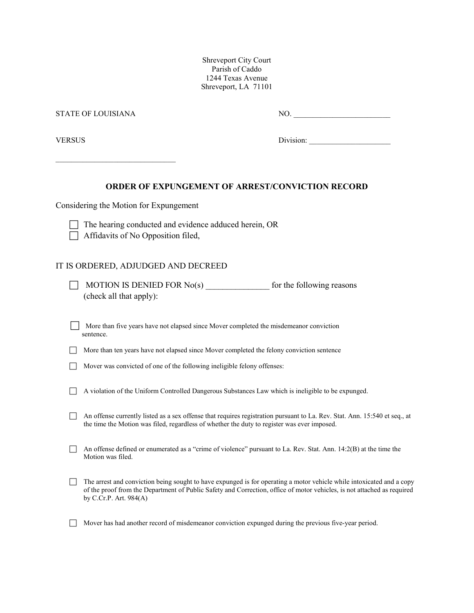Shreveport City Court Parish of Caddo 1244 Texas Avenue Shreveport, LA 71101

| STATE OF LOUISIANA |                                                                                                                                                                                                                                                                              | $\begin{tabular}{ c c c } \hline \multicolumn{3}{ c }{\text{NO.}} & \multicolumn{3}{ c }{\text{NO.}} \\ \hline \multicolumn{3}{ c }{\text{NO.}} & \multicolumn{3}{ c }{\text{NO.}} \\ \hline \multicolumn{3}{ c }{\text{NO.}} & \multicolumn{3}{ c }{\text{O.}} \\ \hline \multicolumn{3}{ c }{\text{NO.}} & \multicolumn{3}{ c }{\text{O.}} \\ \hline \multicolumn{3}{ c }{\text{NO.}} & \multicolumn{3}{ c }{\text{O.}} \\ \hline \multicolumn{3}{ $ |  |
|--------------------|------------------------------------------------------------------------------------------------------------------------------------------------------------------------------------------------------------------------------------------------------------------------------|--------------------------------------------------------------------------------------------------------------------------------------------------------------------------------------------------------------------------------------------------------------------------------------------------------------------------------------------------------------------------------------------------------------------------------------------------------|--|
| VERSUS             |                                                                                                                                                                                                                                                                              |                                                                                                                                                                                                                                                                                                                                                                                                                                                        |  |
|                    | <b>ORDER OF EXPUNGEMENT OF ARREST/CONVICTION RECORD</b>                                                                                                                                                                                                                      |                                                                                                                                                                                                                                                                                                                                                                                                                                                        |  |
|                    | Considering the Motion for Expungement                                                                                                                                                                                                                                       |                                                                                                                                                                                                                                                                                                                                                                                                                                                        |  |
|                    | The hearing conducted and evidence adduced herein, OR<br>Affidavits of No Opposition filed,                                                                                                                                                                                  |                                                                                                                                                                                                                                                                                                                                                                                                                                                        |  |
|                    | IT IS ORDERED, ADJUDGED AND DECREED                                                                                                                                                                                                                                          |                                                                                                                                                                                                                                                                                                                                                                                                                                                        |  |
|                    | MOTION IS DENIED FOR $No(s)$ for the following reasons<br>(check all that apply):                                                                                                                                                                                            |                                                                                                                                                                                                                                                                                                                                                                                                                                                        |  |
|                    | More than five years have not elapsed since Mover completed the misdemeanor conviction<br>sentence.                                                                                                                                                                          |                                                                                                                                                                                                                                                                                                                                                                                                                                                        |  |
|                    | More than ten years have not elapsed since Mover completed the felony conviction sentence                                                                                                                                                                                    |                                                                                                                                                                                                                                                                                                                                                                                                                                                        |  |
|                    | Mover was convicted of one of the following ineligible felony offenses:                                                                                                                                                                                                      |                                                                                                                                                                                                                                                                                                                                                                                                                                                        |  |
|                    | A violation of the Uniform Controlled Dangerous Substances Law which is ineligible to be expunged.                                                                                                                                                                           |                                                                                                                                                                                                                                                                                                                                                                                                                                                        |  |
|                    | An offense currently listed as a sex offense that requires registration pursuant to La. Rev. Stat. Ann. 15:540 et seq., at<br>the time the Motion was filed, regardless of whether the duty to register was ever imposed.                                                    |                                                                                                                                                                                                                                                                                                                                                                                                                                                        |  |
|                    | An offense defined or enumerated as a "crime of violence" pursuant to La. Rev. Stat. Ann. $14:2(B)$ at the time the<br>Motion was filed.                                                                                                                                     |                                                                                                                                                                                                                                                                                                                                                                                                                                                        |  |
|                    | The arrest and conviction being sought to have expunged is for operating a motor vehicle while intoxicated and a copy<br>of the proof from the Department of Public Safety and Correction, office of motor vehicles, is not attached as required<br>by C.Cr.P. Art. $984(A)$ |                                                                                                                                                                                                                                                                                                                                                                                                                                                        |  |

Mover has had another record of misdemeanor conviction expunged during the previous five-year period.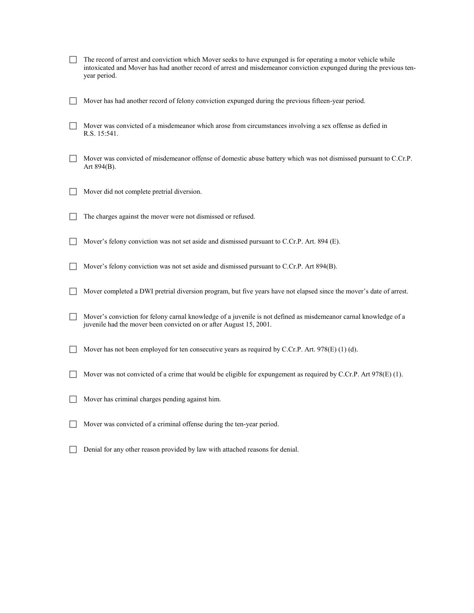- The record of arrest and conviction which Mover seeks to have expunged is for operating a motor vehicle while intoxicated and Mover has had another record of arrest and misdemeanor conviction expunged during the previous tenyear period.
- Mover has had another record of felony conviction expunged during the previous fifteen-year period.
- Mover was convicted of a misdemeanor which arose from circumstances involving a sex offense as defied in R.S. 15:541.
- $\Box$  Mover was convicted of misdemeanor offense of domestic abuse battery which was not dismissed pursuant to C.Cr.P. Art 894(B).
- Mover did not complete pretrial diversion.
- The charges against the mover were not dismissed or refused.
- Mover's felony conviction was not set aside and dismissed pursuant to C.Cr.P. Art. 894 (E).
- Mover's felony conviction was not set aside and dismissed pursuant to C.Cr.P. Art 894(B).
- Mover completed a DWI pretrial diversion program, but five years have not elapsed since the mover's date of arrest.
- Mover's conviction for felony carnal knowledge of a juvenile is not defined as misdemeanor carnal knowledge of a juvenile had the mover been convicted on or after August 15, 2001.
- Mover has not been employed for ten consecutive years as required by C.Cr.P. Art. 978(E) (1) (d).
- Mover was not convicted of a crime that would be eligible for expungement as required by C.Cr.P. Art 978(E) (1).
- Mover has criminal charges pending against him.
- Mover was convicted of a criminal offense during the ten-year period.
- Denial for any other reason provided by law with attached reasons for denial.